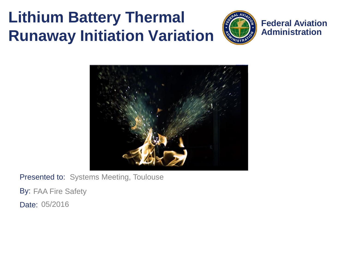### **Lithium Battery Thermal Runaway Initiation Variation**



**Federal Aviation Administration**



Presented to: Systems Meeting, Toulouse

By: FAA Fire Safety

Date: 05/2016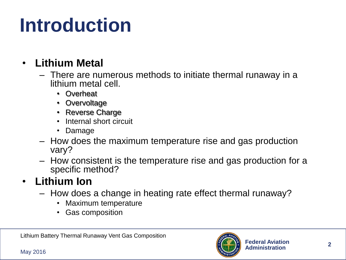## **Introduction**

#### • **Lithium Metal**

- There are numerous methods to initiate thermal runaway in a lithium metal cell.
	- Overheat
	- Overvoltage
	- Reverse Charge
	- Internal short circuit
	- Damage
- How does the maximum temperature rise and gas production vary?
- How consistent is the temperature rise and gas production for a specific method?

#### • **Lithium Ion**

- How does a change in heating rate effect thermal runaway?
	- Maximum temperature
	- Gas composition

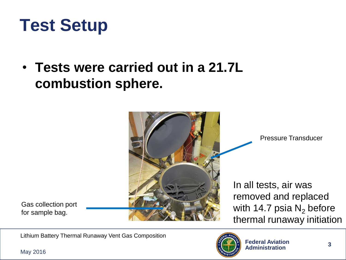### **Test Setup**

• **Tests were carried out in a 21.7L combustion sphere.**



Pressure Transducer

In all tests, air was removed and replaced with 14.7 psia  $N_2$  before thermal runaway initiation

Gas collection port for sample bag.

Lithium Battery Thermal Runaway Vent Gas Composition

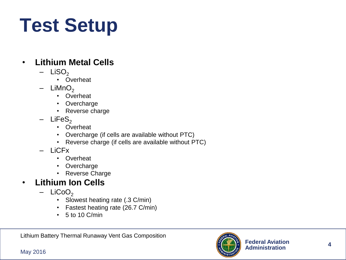## **Test Setup**

#### • **Lithium Metal Cells**

- $-$  LiSO<sub>2</sub>
	- Overheat
- $LiMnO<sub>2</sub>$ 
	- Overheat
	- Overcharge
	- Reverse charge
- $-$  LiFeS<sub>2</sub>
	- Overheat
	- Overcharge (if cells are available without PTC)
	- Reverse charge (if cells are available without PTC)
- LiCFx
	- Overheat
	- Overcharge
	- Reverse Charge

#### • **Lithium Ion Cells**

- $-$  LiCoO<sub>2</sub>
	- Slowest heating rate (.3 C/min)
	- Fastest heating rate (26.7 C/min)
	- $\cdot$  5 to 10 C/min

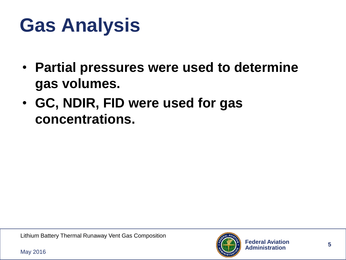### **Gas Analysis**

- **Partial pressures were used to determine gas volumes.**
- **GC, NDIR, FID were used for gas concentrations.**

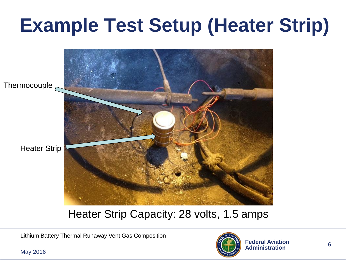## **Example Test Setup (Heater Strip)**



#### Heater Strip Capacity: 28 volts, 1.5 amps

Lithium Battery Thermal Runaway Vent Gas Composition

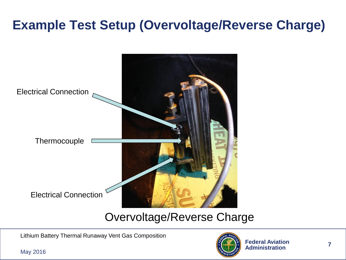#### **Example Test Setup (Overvoltage/Reverse Charge)**



#### Overvoltage/Reverse Charge

Lithium Battery Thermal Runaway Vent Gas Composition

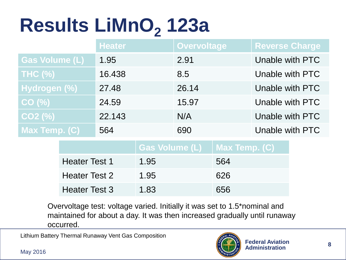## **Results LiMnO<sup>2</sup> 123a**

|                       | <b>Heater</b> | <b>Overvoltage</b> | <b>Reverse Charge</b> |
|-----------------------|---------------|--------------------|-----------------------|
| <b>Gas Volume (L)</b> | 1.95          | 2.91               | Unable with PTC       |
| <b>THC (%)</b>        | 16.438        | 8.5                | Unable with PTC       |
| Hydrogen (%)          | 27.48         | 26.14              | Unable with PTC       |
| CO(%)                 | 24.59         | 15.97              | Unable with PTC       |
| $CO2$ (%)             | 22.143        | N/A                | Unable with PTC       |
| Max Temp. (C)         | 564           | 690                | Unable with PTC       |

| <b>Heater Test 1</b> | 1.95 | 564 |
|----------------------|------|-----|
| <b>Heater Test 2</b> | 1.95 | 626 |
| <b>Heater Test 3</b> | 1.83 | 656 |

Overvoltage test: voltage varied. Initially it was set to 1.5\*nominal and maintained for about a day. It was then increased gradually until runaway occurred.

Lithium Battery Thermal Runaway Vent Gas Composition

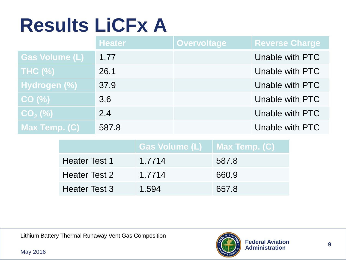## **Results LiCFx A**

|                                | <b>Heater</b> | <b>Overvoltage</b> | <b>Reverse Charge</b> |
|--------------------------------|---------------|--------------------|-----------------------|
| <b>Gas Volume (L)</b>          | 1.77          |                    | Unable with PTC       |
| <b>THC (%)</b>                 | 26.1          |                    | Unable with PTC       |
| Hydrogen (%)                   | 37.9          |                    | Unable with PTC       |
| CO (%)                         | 3.6           |                    | Unable with PTC       |
| $\overline{\text{CO}_2^-(\%)}$ | 2.4           |                    | Unable with PTC       |
| Max Temp. (C)                  | 587.8         |                    | Unable with PTC       |

| <b>Heater Test 1</b> | 1.7714 | 587.8 |
|----------------------|--------|-------|
| <b>Heater Test 2</b> | 1.7714 | 660.9 |
| <b>Heater Test 3</b> | 1.594  | 657.8 |

Lithium Battery Thermal Runaway Vent Gas Composition

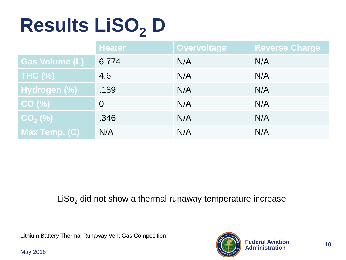# **Results LiSO<sup>2</sup> D**

|                | <b>Heater</b>  | <b>Overvoltage</b> | <b>Reverse Charge</b> |
|----------------|----------------|--------------------|-----------------------|
| Gas Volume (L) | 6.774          | N/A                | N/A                   |
| THC $(\%)$     | 4.6            | N/A                | N/A                   |
| Hydrogen (%)   | .189           | N/A                | N/A                   |
| CO (%)         | $\overline{0}$ | N/A                | N/A                   |
| $CO2$ (%)      | .346           | N/A                | N/A                   |
| Max Temp. (C)  | N/A            | N/A                | N/A                   |

 $Liso<sub>2</sub>$  did not show a thermal runaway temperature increase

Lithium Battery Thermal Runaway Vent Gas Composition

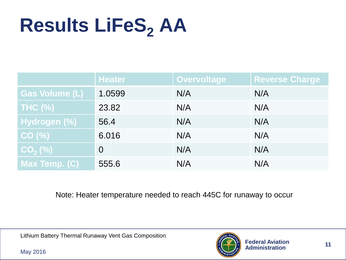## **Results LiFeS<sup>2</sup> AA**

|                       | <b>Heater</b>  | Overvoltage | <b>Reverse Charge</b> |
|-----------------------|----------------|-------------|-----------------------|
| <b>Gas Volume (L)</b> | 1.0599         | N/A         | N/A                   |
| <b>THC (%)</b>        | 23.82          | N/A         | N/A                   |
| Hydrogen (%)          | 56.4           | N/A         | N/A                   |
| CO(%)                 | 6.016          | N/A         | N/A                   |
| $CO2(\%)$             | $\overline{0}$ | N/A         | N/A                   |
| Max Temp. (C)         | 555.6          | N/A         | N/A                   |

Note: Heater temperature needed to reach 445C for runaway to occur

Lithium Battery Thermal Runaway Vent Gas Composition

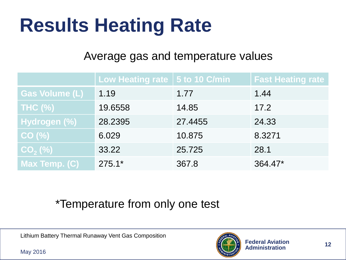### **Results Heating Rate**

#### Average gas and temperature values

|                       | Low Heating rate   5 to 10 C/min |         | <b>Fast Heating rate</b> |
|-----------------------|----------------------------------|---------|--------------------------|
| <b>Gas Volume (L)</b> | 1.19                             | 1.77    | 1.44                     |
| <b>THC (%)</b>        | 19.6558                          | 14.85   | 17.2                     |
| Hydrogen (%)          | 28.2395                          | 27.4455 | 24.33                    |
| CO(%)                 | 6.029                            | 10.875  | 8.3271                   |
| $CO2(\%)$             | 33.22                            | 25.725  | 28.1                     |
| Max Temp. (C)         | $275.1*$                         | 367.8   | 364.47*                  |

#### \*Temperature from only one test

Lithium Battery Thermal Runaway Vent Gas Composition

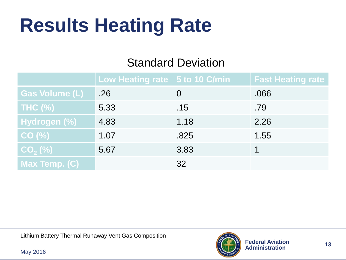### **Results Heating Rate**

#### Standard Deviation

|                       | Low Heating rate $\vert$ 5 to 10 C/min |      | <b>Fast Heating rate</b> |
|-----------------------|----------------------------------------|------|--------------------------|
| <b>Gas Volume (L)</b> | .26                                    |      | .066                     |
| <b>THC (%)</b>        | 5.33                                   | .15  | .79                      |
| Hydrogen (%)          | 4.83                                   | 1.18 | 2.26                     |
| CO(%)                 | 1.07                                   | .825 | 1.55                     |
| $CO2$ (%)             | 5.67                                   | 3.83 |                          |
| Max Temp. (C)         |                                        | 32   |                          |

Lithium Battery Thermal Runaway Vent Gas Composition

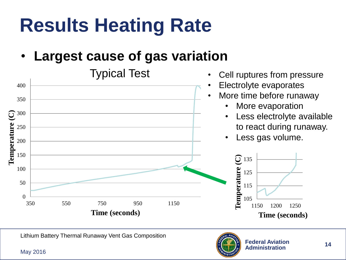## **Results Heating Rate**

• **Largest cause of gas variation** 



Lithium Battery Thermal Runaway Vent Gas Composition

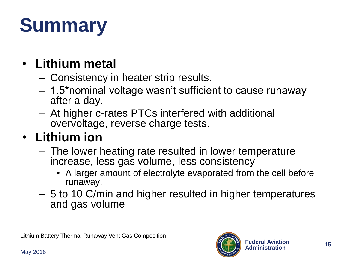## **Summary**

#### • **Lithium metal**

- Consistency in heater strip results.
- 1.5\*nominal voltage wasn't sufficient to cause runaway after a day.
- At higher c-rates PTCs interfered with additional overvoltage, reverse charge tests.

#### • **Lithium ion**

- The lower heating rate resulted in lower temperature increase, less gas volume, less consistency
	- A larger amount of electrolyte evaporated from the cell before runaway.
- 5 to 10 C/min and higher resulted in higher temperatures and gas volume